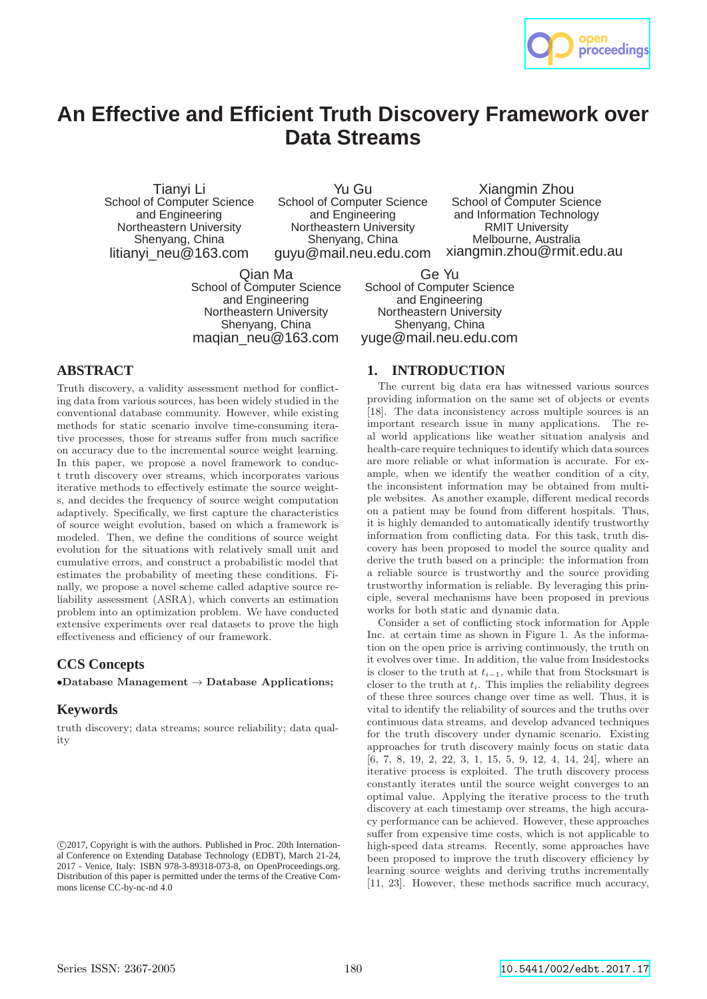

# **An Effective and Efficient Truth Discovery Framework over Data Streams**

Tianyi Li School of Computer Science and Engineering Northeastern University Shenyang, China litianyi\_neu@163.com

Yu Gu School of Computer Science and Engineering Northeastern University Shenyang, China guyu@mail.neu.edu.com

and Information Technology RMIT University Melbourne, Australia xiangmin.zhou@rmit.edu.au Ge Yu

Xiangmin Zhou School of Computer Science

Qian Ma School of Computer Science and Engineering Northeastern University Shenyang, China maqian\_neu@163.com

School of Computer Science and Engineering Northeastern University Shenyang, China yuge@mail.neu.edu.com

# **ABSTRACT**

Truth discovery, a validity assessment method for conflicting data from various sources, has been widely studied in the conventional database community. However, while existing methods for static scenario involve time-consuming iterative processes, those for streams suffer from much sacrifice on accuracy due to the incremental source weight learning. In this paper, we propose a novel framework to conduct truth discovery over streams, which incorporates various iterative methods to effectively estimate the source weights, and decides the frequency of source weight computation adaptively. Specifically, we first capture the characteristics of source weight evolution, based on which a framework is modeled. Then, we define the conditions of source weight evolution for the situations with relatively small unit and cumulative errors, and construct a probabilistic model that estimates the probability of meeting these conditions. Finally, we propose a novel scheme called adaptive source reliability assessment (ASRA), which converts an estimation problem into an optimization problem. We have conducted extensive experiments over real datasets to prove the high effectiveness and efficiency of our framework.

## **CCS Concepts**

 $\bullet$ Database Management  $\rightarrow$  Database Applications;

## **Keywords**

truth discovery; data streams; source reliability; data quality

# **1. INTRODUCTION**

The current big data era has witnessed various sources providing information on the same set of objects or events [18]. The data inconsistency across multiple sources is an important research issue in many applications. The real world applications like weather situation analysis and health-care require techniques to identify which data sources are more reliable or what information is accurate. For example, when we identify the weather condition of a city, the inconsistent information may be obtained from multiple websites. As another example, different medical records on a patient may be found from different hospitals. Thus, it is highly demanded to automatically identify trustworthy information from conflicting data. For this task, truth discovery has been proposed to model the source quality and derive the truth based on a principle: the information from a reliable source is trustworthy and the source providing trustworthy information is reliable. By leveraging this principle, several mechanisms have been proposed in previous works for both static and dynamic data.

Consider a set of conflicting stock information for Apple Inc. at certain time as shown in Figure 1. As the information on the open price is arriving continuously, the truth on it evolves over time. In addition, the value from Insidestocks is closer to the truth at  $t_{i-1}$ , while that from Stocksmart is closer to the truth at  $t_i$ . This implies the reliability degrees of these three sources change over time as well. Thus, it is vital to identify the reliability of sources and the truths over continuous data streams, and develop advanced techniques for the truth discovery under dynamic scenario. Existing approaches for truth discovery mainly focus on static data [6, 7, 8, 19, 2, 22, 3, 1, 15, 5, 9, 12, 4, 14, 24], where an iterative process is exploited. The truth discovery process constantly iterates until the source weight converges to an optimal value. Applying the iterative process to the truth discovery at each timestamp over streams, the high accuracy performance can be achieved. However, these approaches suffer from expensive time costs, which is not applicable to high-speed data streams. Recently, some approaches have been proposed to improve the truth discovery efficiency by learning source weights and deriving truths incrementally [11, 23]. However, these methods sacrifice much accuracy,

c 2017, Copyright is with the authors. Published in Proc. 20th International Conference on Extending Database Technology (EDBT), March 21-24, 2017 - Venice, Italy: ISBN 978-3-89318-073-8, on OpenProceedings.org. Distribution of this paper is permitted under the terms of the Creative Commons license CC-by-nc-nd 4.0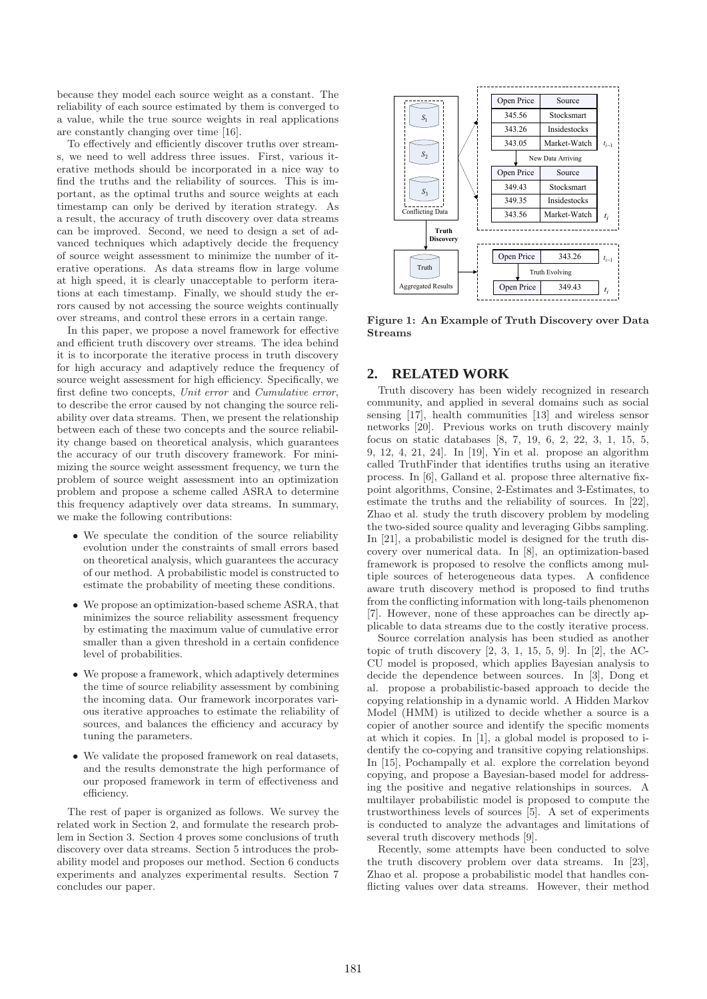because they model each source weight as a constant. The reliability of each source estimated by them is converged to a value, while the true source weights in real applications are constantly changing over time [16].

To effectively and efficiently discover truths over streams, we need to well address three issues. First, various iterative methods should be incorporated in a nice way to find the truths and the reliability of sources. This is important, as the optimal truths and source weights at each timestamp can only be derived by iteration strategy. As a result, the accuracy of truth discovery over data streams can be improved. Second, we need to design a set of advanced techniques which adaptively decide the frequency of source weight assessment to minimize the number of iterative operations. As data streams flow in large volume at high speed, it is clearly unacceptable to perform iterations at each timestamp. Finally, we should study the errors caused by not accessing the source weights continually over streams, and control these errors in a certain range.

In this paper, we propose a novel framework for effective and efficient truth discovery over streams. The idea behind it is to incorporate the iterative process in truth discovery for high accuracy and adaptively reduce the frequency of source weight assessment for high efficiency. Specifically, we first define two concepts, *Unit error* and *Cumulative error*, to describe the error caused by not changing the source reliability over data streams. Then, we present the relationship between each of these two concepts and the source reliability change based on theoretical analysis, which guarantees the accuracy of our truth discovery framework. For minimizing the source weight assessment frequency, we turn the problem of source weight assessment into an optimization problem and propose a scheme called ASRA to determine this frequency adaptively over data streams. In summary, we make the following contributions:

- We speculate the condition of the source reliability evolution under the constraints of small errors based on theoretical analysis, which guarantees the accuracy of our method. A probabilistic model is constructed to estimate the probability of meeting these conditions.
- We propose an optimization-based scheme ASRA, that minimizes the source reliability assessment frequency by estimating the maximum value of cumulative error smaller than a given threshold in a certain confidence level of probabilities.
- We propose a framework, which adaptively determines the time of source reliability assessment by combining the incoming data. Our framework incorporates various iterative approaches to estimate the reliability of sources, and balances the efficiency and accuracy by tuning the parameters.
- We validate the proposed framework on real datasets, and the results demonstrate the high performance of our proposed framework in term of effectiveness and efficiency.

The rest of paper is organized as follows. We survey the related work in Section 2, and formulate the research problem in Section 3. Section 4 proves some conclusions of truth discovery over data streams. Section 5 introduces the probability model and proposes our method. Section 6 conducts experiments and analyzes experimental results. Section 7 concludes our paper.



Figure 1: An Example of Truth Discovery over Data Streams

# **2. RELATED WORK**

Truth discovery has been widely recognized in research community, and applied in several domains such as social sensing [17], health communities [13] and wireless sensor networks [20]. Previous works on truth discovery mainly focus on static databases [8, 7, 19, 6, 2, 22, 3, 1, 15, 5, 9, 12, 4, 21, 24]. In [19], Yin et al. propose an algorithm called TruthFinder that identifies truths using an iterative process. In [6], Galland et al. propose three alternative fixpoint algorithms, Consine, 2-Estimates and 3-Estimates, to estimate the truths and the reliability of sources. In [22], Zhao et al. study the truth discovery problem by modeling the two-sided source quality and leveraging Gibbs sampling. In [21], a probabilistic model is designed for the truth discovery over numerical data. In [8], an optimization-based framework is proposed to resolve the conflicts among multiple sources of heterogeneous data types. A confidence aware truth discovery method is proposed to find truths from the conflicting information with long-tails phenomenon [7]. However, none of these approaches can be directly applicable to data streams due to the costly iterative process.

Source correlation analysis has been studied as another topic of truth discovery  $[2, 3, 1, 15, 5, 9]$ . In  $[2]$ , the AC-CU model is proposed, which applies Bayesian analysis to decide the dependence between sources. In [3], Dong et al. propose a probabilistic-based approach to decide the copying relationship in a dynamic world. A Hidden Markov Model (HMM) is utilized to decide whether a source is a copier of another source and identify the specific moments at which it copies. In [1], a global model is proposed to identify the co-copying and transitive copying relationships. In [15], Pochampally et al. explore the correlation beyond copying, and propose a Bayesian-based model for addressing the positive and negative relationships in sources. A multilayer probabilistic model is proposed to compute the trustworthiness levels of sources [5]. A set of experiments is conducted to analyze the advantages and limitations of several truth discovery methods [9].

Recently, some attempts have been conducted to solve the truth discovery problem over data streams. In [23], Zhao et al. propose a probabilistic model that handles conflicting values over data streams. However, their method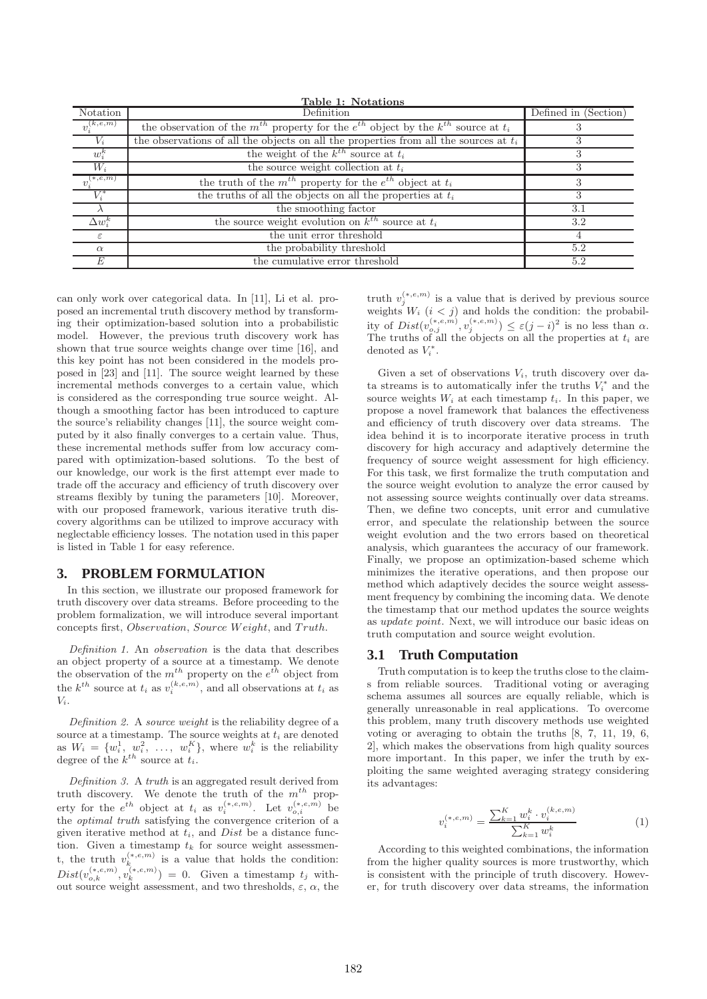| Table 1: Notations         |                                                                                                  |                      |  |  |  |  |
|----------------------------|--------------------------------------------------------------------------------------------------|----------------------|--|--|--|--|
| Notation                   | Definition                                                                                       | Defined in (Section) |  |  |  |  |
| $v_i^{(k,e,m)}$            | the observation of the $m^{th}$ property for the $e^{th}$ object by the $k^{th}$ source at $t_i$ |                      |  |  |  |  |
| $V_i$                      | the observations of all the objects on all the properties from all the sources at $t_i$          |                      |  |  |  |  |
| $w_i^{\kappa}$             | the weight of the $k^{th}$ source at $t_i$                                                       | 3                    |  |  |  |  |
| $W_i$                      | the source weight collection at $t_i$                                                            | 3                    |  |  |  |  |
| $v_i^{(\overline{*,e,m})}$ | the truth of the $m^{th}$ property for the $e^{th}$ object at $t_i$                              | 3                    |  |  |  |  |
| $V_i^*$                    | the truths of all the objects on all the properties at $t_i$                                     | 3                    |  |  |  |  |
|                            | the smoothing factor                                                                             | 3.1                  |  |  |  |  |
| $\Delta w_i^{\kappa}$      | the source weight evolution on $k^{th}$ source at $t_i$                                          | 3.2                  |  |  |  |  |
| ε                          | the unit error threshold                                                                         |                      |  |  |  |  |
| $\alpha$                   | the probability threshold                                                                        | 5.2                  |  |  |  |  |
| E                          | the cumulative error threshold                                                                   | 5.2                  |  |  |  |  |

can only work over categorical data. In [11], Li et al. proposed an incremental truth discovery method by transforming their optimization-based solution into a probabilistic model. However, the previous truth discovery work has shown that true source weights change over time [16], and this key point has not been considered in the models proposed in [23] and [11]. The source weight learned by these incremental methods converges to a certain value, which is considered as the corresponding true source weight. Although a smoothing factor has been introduced to capture the source's reliability changes [11], the source weight computed by it also finally converges to a certain value. Thus, these incremental methods suffer from low accuracy compared with optimization-based solutions. To the best of our knowledge, our work is the first attempt ever made to trade off the accuracy and efficiency of truth discovery over streams flexibly by tuning the parameters [10]. Moreover, with our proposed framework, various iterative truth discovery algorithms can be utilized to improve accuracy with neglectable efficiency losses. The notation used in this paper is listed in Table 1 for easy reference.

## **3. PROBLEM FORMULATION**

In this section, we illustrate our proposed framework for truth discovery over data streams. Before proceeding to the problem formalization, we will introduce several important concepts first, Observation, Source Weight, and Truth.

*Definition 1.* An *observation* is the data that describes an object property of a source at a timestamp. We denote the observation of the  $m^{th}$  property on the  $e^{th}$  object from the  $k^{th}$  source at  $t_i$  as  $v_i^{(k,e,m)}$ , and all observations at  $t_i$  as  $V_i$ .

*Definition 2.* A *source weight* is the reliability degree of a source at a timestamp. The source weights at  $t_i$  are denoted as  $W_i = \{w_i^1, w_i^2, \ldots, w_i^K\}$ , where  $w_i^k$  is the reliability degree of the  $k^{th}$  source at  $t_i$ .

*Definition 3.* A *truth* is an aggregated result derived from truth discovery. We denote the truth of the  $m^{th}$  property for the  $e^{th}$  object at  $t_i$  as  $v_i^{(*,e,m)}$ . Let  $v_{o,i}^{(*,e,m)}$  be the *optimal truth* satisfying the convergence criterion of a given iterative method at  $t_i$ , and  $Dist$  be a distance function. Given a timestamp  $t_k$  for source weight assessment, the truth  $v_k^{(*,e,m)}$  is a value that holds the condition:  $Dist(v_{o,k}^{(*,e,m)}, v_k^{(*,e,m)}) = 0.$  Given a timestamp  $t_j$  without source weight assessment, and two thresholds,  $\varepsilon$ ,  $\alpha$ , the truth  $v_j^{(*,e,m)}$  is a value that is derived by previous source weights  $W_i$   $(i < j)$  and holds the condition: the probability of  $Dist(v_{o,j}^{(*,e,m)}, v_j^{(*,e,m)}) \leq \varepsilon (j-i)^2$  is no less than  $\alpha$ . The truths of all the objects on all the properties at  $t_i$  are denoted as  $V_i^*$ .

Given a set of observations  $V_i$ , truth discovery over data streams is to automatically infer the truths  $V_i^*$  and the source weights  $W_i$  at each timestamp  $t_i$ . In this paper, we propose a novel framework that balances the effectiveness and efficiency of truth discovery over data streams. The idea behind it is to incorporate iterative process in truth discovery for high accuracy and adaptively determine the frequency of source weight assessment for high efficiency. For this task, we first formalize the truth computation and the source weight evolution to analyze the error caused by not assessing source weights continually over data streams. Then, we define two concepts, unit error and cumulative error, and speculate the relationship between the source weight evolution and the two errors based on theoretical analysis, which guarantees the accuracy of our framework. Finally, we propose an optimization-based scheme which minimizes the iterative operations, and then propose our method which adaptively decides the source weight assessment frequency by combining the incoming data. We denote the timestamp that our method updates the source weights as update point. Next, we will introduce our basic ideas on truth computation and source weight evolution.

#### **3.1 Truth Computation**

Truth computation is to keep the truths close to the claims from reliable sources. Traditional voting or averaging schema assumes all sources are equally reliable, which is generally unreasonable in real applications. To overcome this problem, many truth discovery methods use weighted voting or averaging to obtain the truths [8, 7, 11, 19, 6, 2], which makes the observations from high quality sources more important. In this paper, we infer the truth by exploiting the same weighted averaging strategy considering its advantages:

$$
v_i^{(*,e,m)} = \frac{\sum_{k=1}^{K} w_i^k \cdot v_i^{(k,e,m)}}{\sum_{k=1}^{K} w_i^k}
$$
 (1)

According to this weighted combinations, the information from the higher quality sources is more trustworthy, which is consistent with the principle of truth discovery. However, for truth discovery over data streams, the information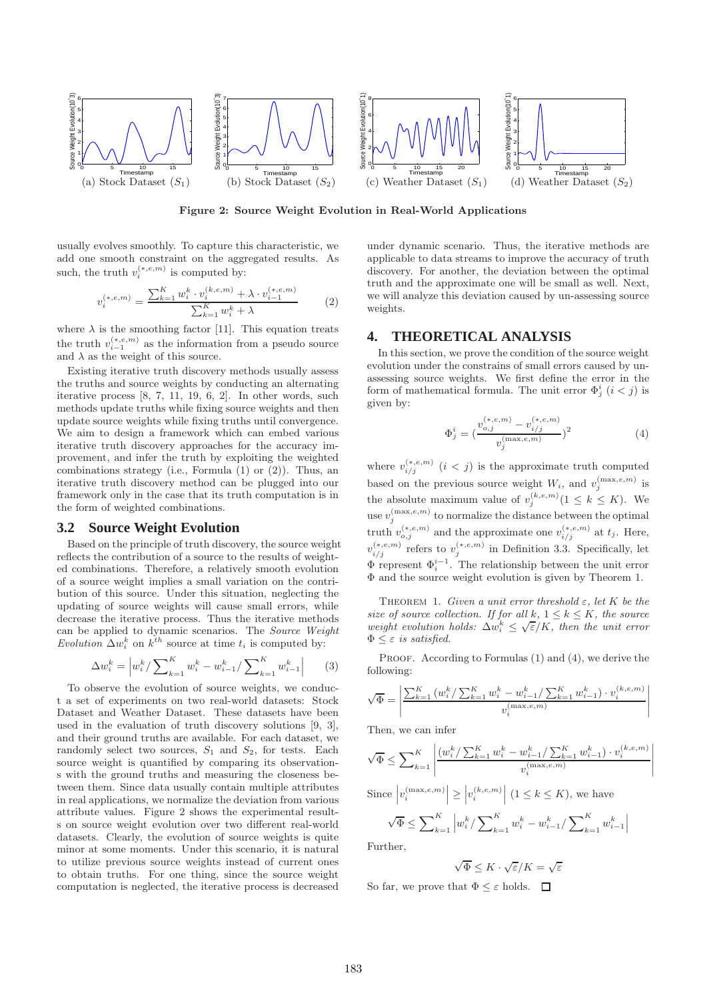

Figure 2: Source Weight Evolution in Real-World Applications

usually evolves smoothly. To capture this characteristic, we add one smooth constraint on the aggregated results. As such, the truth  $v_i^{(*,e,m)}$  is computed by:

$$
v_i^{(*,e,m)} = \frac{\sum_{k=1}^{K} w_i^k \cdot v_i^{(k,e,m)} + \lambda \cdot v_{i-1}^{(*,e,m)}}{\sum_{k=1}^{K} w_i^k + \lambda}
$$
(2)

where  $\lambda$  is the smoothing factor [11]. This equation treats the truth  $v_{i-1}^{(*,e,m)}$  as the information from a pseudo source and  $\lambda$  as the weight of this source.

Existing iterative truth discovery methods usually assess the truths and source weights by conducting an alternating iterative process [8, 7, 11, 19, 6, 2]. In other words, such methods update truths while fixing source weights and then update source weights while fixing truths until convergence. We aim to design a framework which can embed various iterative truth discovery approaches for the accuracy improvement, and infer the truth by exploiting the weighted combinations strategy (i.e., Formula (1) or (2)). Thus, an iterative truth discovery method can be plugged into our framework only in the case that its truth computation is in the form of weighted combinations.

#### **3.2 Source Weight Evolution**

Based on the principle of truth discovery, the source weight reflects the contribution of a source to the results of weighted combinations. Therefore, a relatively smooth evolution of a source weight implies a small variation on the contribution of this source. Under this situation, neglecting the updating of source weights will cause small errors, while decrease the iterative process. Thus the iterative methods can be applied to dynamic scenarios. The *Source Weight Evolution*  $\Delta w_i^k$  on  $k^{th}$  source at time  $t_i$  is computed by:

$$
\Delta w_i^k = \left| w_i^k / \sum_{k=1}^K w_i^k - w_{i-1}^k / \sum_{k=1}^K w_{i-1}^k \right| \qquad (3)
$$

To observe the evolution of source weights, we conduct a set of experiments on two real-world datasets: Stock Dataset and Weather Dataset. These datasets have been used in the evaluation of truth discovery solutions [9, 3], and their ground truths are available. For each dataset, we randomly select two sources,  $S_1$  and  $S_2$ , for tests. Each source weight is quantified by comparing its observations with the ground truths and measuring the closeness between them. Since data usually contain multiple attributes in real applications, we normalize the deviation from various attribute values. Figure 2 shows the experimental results on source weight evolution over two different real-world datasets. Clearly, the evolution of source weights is quite minor at some moments. Under this scenario, it is natural to utilize previous source weights instead of current ones to obtain truths. For one thing, since the source weight computation is neglected, the iterative process is decreased

under dynamic scenario. Thus, the iterative methods are applicable to data streams to improve the accuracy of truth discovery. For another, the deviation between the optimal truth and the approximate one will be small as well. Next, we will analyze this deviation caused by un-assessing source weights.

## **4. THEORETICAL ANALYSIS**

In this section, we prove the condition of the source weight evolution under the constrains of small errors caused by unassessing source weights. We first define the error in the form of mathematical formula. The unit error  $\Phi_j^i$   $(i < j)$  is given by:

$$
\Phi_j^i = \left(\frac{v_{o,j}^{(*,e,m)} - v_{i/j}^{(*,e,m)}}{v_j^{(\max,e,m)}}\right)^2
$$
\n(4)

where  $v_{i/j}^{(*,e,m)}$   $(i < j)$  is the approximate truth computed based on the previous source weight  $W_i$ , and  $v_j^{(\max,e,m)}$  is the absolute maximum value of  $v_j^{(k,e,m)}$  ( $1 \leq k \leq K$ ). We use  $v_j^{(\max,e,m)}$  to normalize the distance between the optimal truth  $v_{o,j}^{(*,e,m)}$  and the approximate one  $v_{i/j}^{(*,e,m)}$  at  $t_j$ . Here,  $v_{i/j}^{(*,e,m)}$  refers to  $v_j^{(*,e,m)}$  in Definition 3.3. Specifically, let  $\Phi_i^{i-1}$  . The relationship between the unit error Φ and the source weight evolution is given by Theorem 1.

THEOREM 1. *Given a unit error threshold*  $\varepsilon$ , *let* K *be the size of source collection. If for all*  $k, 1 \leq k \leq K$ *, the source weight evolution holds:*  $\Delta w_i^k \leq \sqrt{\varepsilon}/K$ , then the unit error  $\Phi \leq \varepsilon$  *is satisfied.* 

PROOF. According to Formulas (1) and (4), we derive the following:

$$
\sqrt{\Phi} = \left| \frac{\sum_{k=1}^{K} (w_i^k / \sum_{k=1}^{K} w_i^k - w_{i-1}^k / \sum_{k=1}^{K} w_{i-1}^k) \cdot v_i^{(k, e, m)}}{v_i^{(\max, e, m)}} \right|
$$

Then, we can infer

$$
\sqrt{\Phi} \le \sum_{k=1}^{K} \left| \frac{(w_i^k / \sum_{k=1}^{K} w_i^k - w_{i-1}^k / \sum_{k=1}^{K} w_{i-1}^k) \cdot v_i^{(k,e,m)}}{v_i^{(\max,e,m)}} \right|
$$

 $\overline{\phantom{a}}$  $\overline{\phantom{a}}$  $\overline{\phantom{a}}$  $\overline{\phantom{a}}$  $\overline{\phantom{a}}$ 

Since 
$$
|v_i^{(\max,e,m)}| \ge |v_i^{(k,e,m)}|
$$
  $(1 \le k \le K)$ , we have

 $\sqrt{\Phi} \leq \sum\nolimits_{k=1}^K$  $\left| w_i^k / \sum_{k=1}^K w_i^k - w_{i-1}^k / \sum_{k=1}^K w_{i-1}^k \right|$ 

Further,

$$
\sqrt{\Phi} \leq K \cdot \sqrt{\varepsilon}/K = \sqrt{\varepsilon}
$$

So far, we prove that  $\Phi \leq \varepsilon$  holds.  $\square$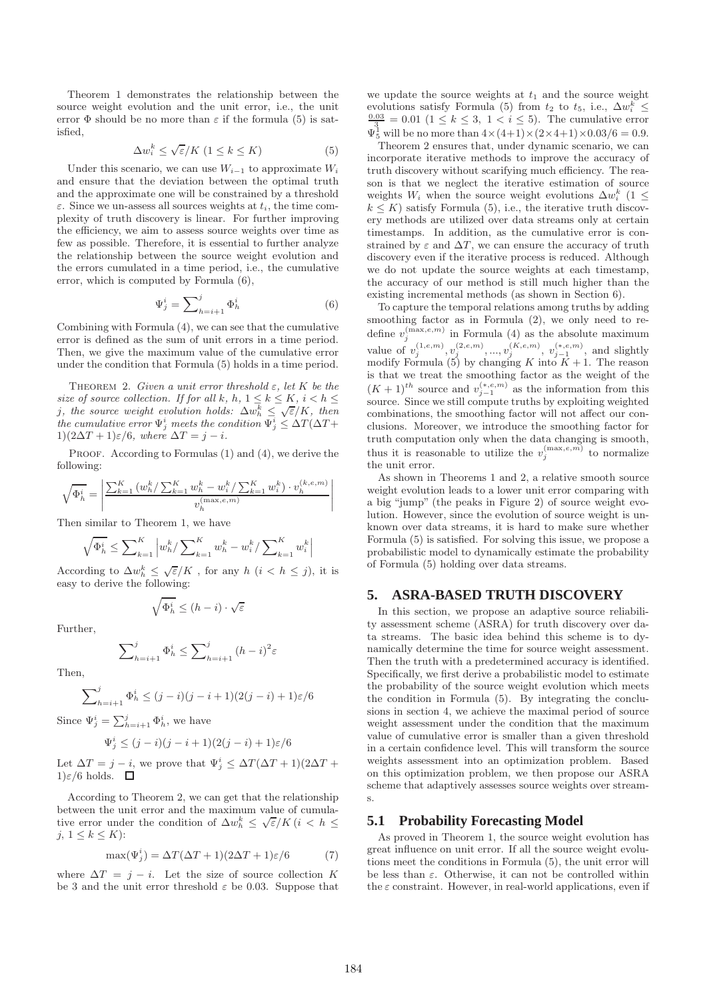Theorem 1 demonstrates the relationship between the source weight evolution and the unit error, i.e., the unit error  $\Phi$  should be no more than  $\varepsilon$  if the formula (5) is satisfied,

$$
\Delta w_i^k \le \sqrt{\varepsilon}/K \ (1 \le k \le K) \tag{5}
$$

Under this scenario, we can use  $W_{i-1}$  to approximate  $W_i$ and ensure that the deviation between the optimal truth and the approximate one will be constrained by a threshold  $\varepsilon$ . Since we un-assess all sources weights at  $t_i$ , the time complexity of truth discovery is linear. For further improving the efficiency, we aim to assess source weights over time as few as possible. Therefore, it is essential to further analyze the relationship between the source weight evolution and the errors cumulated in a time period, i.e., the cumulative error, which is computed by Formula (6),

$$
\Psi_j^i = \sum_{h=i+1}^j \Phi_h^i \tag{6}
$$

Combining with Formula (4), we can see that the cumulative error is defined as the sum of unit errors in a time period. Then, we give the maximum value of the cumulative error under the condition that Formula (5) holds in a time period.

THEOREM 2. *Given a unit error threshold*  $\varepsilon$ , let K be the *size of source collection. If for all* k, h,  $1 \leq k \leq K$ ,  $i < h \leq$ *j*, the source weight evolution holds:  $\Delta w_h^{\overline{k}} \leq \sqrt{\varepsilon}/K$ , then *the cumulative error*  $\Psi_j^i$  *meets the condition*  $\Psi_j^i \leq \Delta T(\Delta T +$ 1) $(2\Delta T + 1)\varepsilon/6$ *, where*  $\Delta T = i - i$ *.* 

PROOF. According to Formulas (1) and (4), we derive the following:

$$
\sqrt{\Phi_h^i} = \left| \frac{\sum_{k=1}^K \left( w_h^k / \sum_{k=1}^K w_h^k - w_i^k / \sum_{k=1}^K w_i^k \right) \cdot v_h^{(k,e,m)}}{v_h^{(\max,e,m)}} \right|
$$

Then similar to Theorem 1, we have

$$
\sqrt{\Phi_h^i} \leq \sum\nolimits_{k = 1}^K {\left| {{w_h^k}/\sum\nolimits_{k = 1}^K {{w_h^k} - {w_i^k}/\sum\nolimits_{k = 1}^K {{w_i^k}} } \right|}
$$

According to  $\Delta w_h^k \leq \sqrt{\varepsilon}/K$ , for any  $h$   $(i < h \leq j)$ , it is easy to derive the following:

$$
\sqrt{\Phi_h^i} \le (h - i) \cdot \sqrt{\varepsilon}
$$

Further,

$$
\sum_{h=i+1}^{j} \Phi_h^i \le \sum_{h=i+1}^{j} (h-i)^2 \varepsilon
$$

Then,

$$
\sum_{h=i+1}^{j} \Phi_h^i \le (j-i)(j-i+1)(2(j-i)+1)\varepsilon/6
$$

Since  $\Psi_j^i = \sum_{h=i+1}^j \Phi_h^i$ , we have

$$
\Psi_j^i \le (j-i)(j-i+1)(2(j-i)+1)\varepsilon/6
$$

Let  $\Delta T = j - i$ , we prove that  $\Psi_j^i \leq \Delta T (\Delta T + 1)(2\Delta T +$  $1)\varepsilon/6$  holds.  $\Box$ 

According to Theorem 2, we can get that the relationship between the unit error and the maximum value of cumulative error under the condition of  $\Delta w_h^k \leq \sqrt{\varepsilon}/K$   $(i \lt h \leq$ j,  $1 \leq k \leq K$ :

$$
\max(\Psi_j^i) = \Delta T(\Delta T + 1)(2\Delta T + 1)\varepsilon/6 \tag{7}
$$

where  $\Delta T = j - i$ . Let the size of source collection K be 3 and the unit error threshold  $\varepsilon$  be 0.03. Suppose that we update the source weights at  $t_1$  and the source weight evolutions satisfy Formula (5) from  $t_2$  to  $t_5$ , i.e.,  $\Delta w_i^k \leq$  $\frac{0.03}{3} = 0.01$   $(1 \le k \le 3, 1 < i \le 5)$ . The cumulative error  $\Psi_5^1$  will be no more than  $4 \times (4+1) \times (2 \times 4+1) \times 0.03/6 = 0.9$ .

Theorem 2 ensures that, under dynamic scenario, we can incorporate iterative methods to improve the accuracy of truth discovery without scarifying much efficiency. The reason is that we neglect the iterative estimation of source weights  $W_i$  when the source weight evolutions  $\Delta w_i^k$  (1 ≤  $k \leq K$ ) satisfy Formula (5), i.e., the iterative truth discovery methods are utilized over data streams only at certain timestamps. In addition, as the cumulative error is constrained by  $\varepsilon$  and  $\Delta T$ , we can ensure the accuracy of truth discovery even if the iterative process is reduced. Although we do not update the source weights at each timestamp, the accuracy of our method is still much higher than the existing incremental methods (as shown in Section 6).

To capture the temporal relations among truths by adding smoothing factor as in Formula  $(2)$ , we only need to redefine  $v_j^{(\max,e,m)}$  in Formula (4) as the absolute maximum value of  $v_j^{(1,e,m)}, v_j^{(2,e,m)}, ..., v_j^{(K,e,m)}, v_{j-1}^{(*,e,m)},$  and slightly modify Formula (5) by changing K into  $\overline{K} + 1$ . The reason is that we treat the smoothing factor as the weight of the  $(K+1)$ <sup>th</sup> source and  $v_{j-1}^{(*,e,m)}$  as the information from this source. Since we still compute truths by exploiting weighted combinations, the smoothing factor will not affect our conclusions. Moreover, we introduce the smoothing factor for truth computation only when the data changing is smooth, thus it is reasonable to utilize the  $v_j^{(\max,e,m)}$  to normalize the unit error.

As shown in Theorems 1 and 2, a relative smooth source weight evolution leads to a lower unit error comparing with a big "jump" (the peaks in Figure 2) of source weight evolution. However, since the evolution of source weight is unknown over data streams, it is hard to make sure whether Formula (5) is satisfied. For solving this issue, we propose a probabilistic model to dynamically estimate the probability of Formula (5) holding over data streams.

## **5. ASRA-BASED TRUTH DISCOVERY**

In this section, we propose an adaptive source reliability assessment scheme (ASRA) for truth discovery over data streams. The basic idea behind this scheme is to dynamically determine the time for source weight assessment. Then the truth with a predetermined accuracy is identified. Specifically, we first derive a probabilistic model to estimate the probability of the source weight evolution which meets the condition in Formula (5). By integrating the conclusions in section 4, we achieve the maximal period of source weight assessment under the condition that the maximum value of cumulative error is smaller than a given threshold in a certain confidence level. This will transform the source weights assessment into an optimization problem. Based on this optimization problem, we then propose our ASRA scheme that adaptively assesses source weights over streams.

#### **5.1 Probability Forecasting Model**

As proved in Theorem 1, the source weight evolution has great influence on unit error. If all the source weight evolutions meet the conditions in Formula (5), the unit error will be less than  $\varepsilon$ . Otherwise, it can not be controlled within the  $\varepsilon$  constraint. However, in real-world applications, even if

 $\bigg\}$  $\bigg]$  $\frac{1}{2}$  $\bigg]$  $\frac{1}{2}$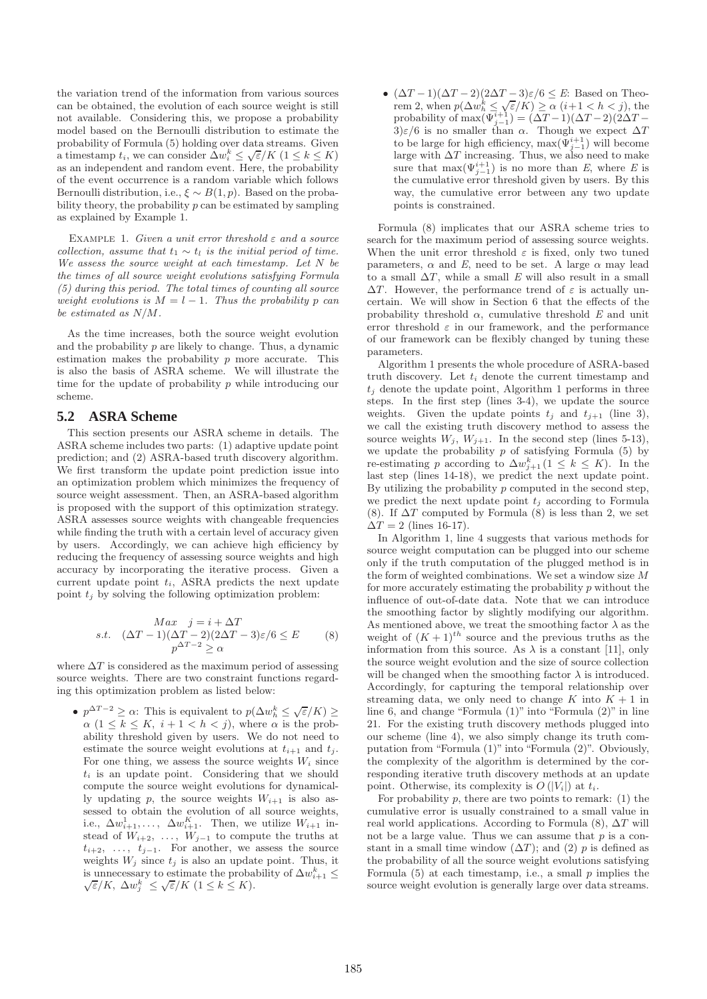the variation trend of the information from various sources can be obtained, the evolution of each source weight is still not available. Considering this, we propose a probability model based on the Bernoulli distribution to estimate the probability of Formula (5) holding over data streams. Given a timestamp  $t_i$ , we can consider  $\Delta w_i^k \leq \sqrt{\varepsilon}/K$   $(1 \leq k \leq K)$ as an independent and random event. Here, the probability of the event occurrence is a random variable which follows Bernoulli distribution, i.e.,  $\xi \sim B(1, p)$ . Based on the probability theory, the probability  $p$  can be estimated by sampling as explained by Example 1.

Example 1. *Given a unit error threshold* ε *and a source collection, assume that*  $t_1 \sim t_l$  *is the initial period of time. We assess the source weight at each timestamp. Let* N *be the times of all source weight evolutions satisfying Formula (5) during this period. The total times of counting all source weight evolutions is*  $M = l - 1$ *. Thus the probability* p *can be estimated as* N/M*.*

As the time increases, both the source weight evolution and the probability  $p$  are likely to change. Thus, a dynamic estimation makes the probability  $p$  more accurate. This is also the basis of ASRA scheme. We will illustrate the time for the update of probability  $p$  while introducing our scheme.

## **5.2 ASRA Scheme**

This section presents our ASRA scheme in details. The ASRA scheme includes two parts: (1) adaptive update point prediction; and (2) ASRA-based truth discovery algorithm. We first transform the update point prediction issue into an optimization problem which minimizes the frequency of source weight assessment. Then, an ASRA-based algorithm is proposed with the support of this optimization strategy. ASRA assesses source weights with changeable frequencies while finding the truth with a certain level of accuracy given by users. Accordingly, we can achieve high efficiency by reducing the frequency of assessing source weights and high accuracy by incorporating the iterative process. Given a current update point  $t_i$ , ASRA predicts the next update point  $t_i$  by solving the following optimization problem:

$$
\begin{array}{ll}\n\text{Max} & j = i + \Delta T \\
\text{s.t.} & (\Delta T - 1)(\Delta T - 2)(2\Delta T - 3)\varepsilon/6 \le E \\
& p^{\Delta T - 2} \ge \alpha\n\end{array} \tag{8}
$$

where  $\Delta T$  is considered as the maximum period of assessing source weights. There are two constraint functions regarding this optimization problem as listed below:

•  $p^{\Delta T - 2} \geq \alpha$ : This is equivalent to  $p(\Delta w_h^k \leq \sqrt{\varepsilon/K}) \geq$  $\alpha$  (1  $\leq$  k  $\leq$  K,  $i + 1 < h < j$ ), where  $\alpha$  is the probability threshold given by users. We do not need to estimate the source weight evolutions at  $t_{i+1}$  and  $t_i$ . For one thing, we assess the source weights  $W_i$  since  $t_i$  is an update point. Considering that we should compute the source weight evolutions for dynamically updating p, the source weights  $W_{i+1}$  is also assessed to obtain the evolution of all source weights, i.e.,  $\Delta w_{i+1}^1, \ldots, \ \Delta w_{i+1}^K$ . Then, we utilize  $W_{i+1}$  instead of  $W_{i+2}, \ldots, W_{j-1}$  to compute the truths at  $t_{i+2}, \ldots, t_{i-1}$ . For another, we assess the source weights  $W_j$  since  $t_j$  is also an update point. Thus, it is unnecessary to estimate the probability of  $\Delta w_{i+1}^k \leq$  $\sqrt{\varepsilon}/K$ ,  $\Delta w_j^k \leq \sqrt{\varepsilon}/K$   $(1 \leq k \leq K)$ .

• (ΔT − 1)(ΔT − 2)(2ΔT − 3) $\varepsilon/6 \leq E$ : Based on Theorem 2, when  $p(\Delta w_h^k \leq \sqrt{\varepsilon}/K) \geq \alpha$  (*i*+1 < *h* < *j*), the probability of max( $\Psi_{j-1}^{i+1}$ ) = (ΔT − 1)(ΔT − 2)(2ΔT −  $3)\varepsilon/6$  is no smaller than  $\alpha$ . Though we expect  $\Delta T$ to be large for high efficiency,  $\max(\Psi_{j-1}^{i+1})$  will become large with  $\Delta T$  increasing. Thus, we also need to make sure that  $\max(\Psi_{j-1}^{i+1})$  is no more than *E*, where *E* is the cumulative error threshold given by users. By this way, the cumulative error between any two update points is constrained.

Formula (8) implicates that our ASRA scheme tries to search for the maximum period of assessing source weights. When the unit error threshold  $\varepsilon$  is fixed, only two tuned parameters,  $\alpha$  and  $E$ , need to be set. A large  $\alpha$  may lead to a small  $\Delta T$ , while a small *E* will also result in a small  $\Delta T$ . However, the performance trend of  $\varepsilon$  is actually uncertain. We will show in Section 6 that the effects of the probability threshold  $\alpha$ , cumulative threshold  $E$  and unit error threshold  $\varepsilon$  in our framework, and the performance of our framework can be flexibly changed by tuning these parameters.

Algorithm 1 presents the whole procedure of ASRA-based truth discovery. Let  $t_i$  denote the current timestamp and  $t_i$  denote the update point, Algorithm 1 performs in three steps. In the first step (lines 3-4), we update the source weights. Given the update points  $t_i$  and  $t_{i+1}$  (line 3), we call the existing truth discovery method to assess the source weights  $W_i$ ,  $W_{i+1}$ . In the second step (lines 5-13), we update the probability  $p$  of satisfying Formula  $(5)$  by re-estimating p according to  $\Delta w_{j+1}^k (1 \leq k \leq K)$ . In the last step (lines 14-18), we predict the next update point. By utilizing the probability  $p$  computed in the second step, we predict the next update point  $t_j$  according to Formula (8). If  $\Delta T$  computed by Formula (8) is less than 2, we set  $\Delta T = 2$  (lines 16-17).

In Algorithm 1, line 4 suggests that various methods for source weight computation can be plugged into our scheme only if the truth computation of the plugged method is in the form of weighted combinations. We set a window size  $M$ for more accurately estimating the probability  $p$  without the influence of out-of-date data. Note that we can introduce the smoothing factor by slightly modifying our algorithm. As mentioned above, we treat the smoothing factor  $\lambda$  as the weight of  $(K+1)^{th}$  source and the previous truths as the information from this source. As  $\lambda$  is a constant [11], only the source weight evolution and the size of source collection will be changed when the smoothing factor  $\lambda$  is introduced. Accordingly, for capturing the temporal relationship over streaming data, we only need to change K into  $K + 1$  in line 6, and change "Formula (1)" into "Formula (2)" in line 21. For the existing truth discovery methods plugged into our scheme (line 4), we also simply change its truth computation from "Formula (1)" into "Formula (2)". Obviously, the complexity of the algorithm is determined by the corresponding iterative truth discovery methods at an update point. Otherwise, its complexity is  $O(|V_i|)$  at  $t_i$ .

For probability  $p$ , there are two points to remark: (1) the cumulative error is usually constrained to a small value in real world applications. According to Formula  $(8)$ ,  $\Delta T$  will not be a large value. Thus we can assume that  $p$  is a constant in a small time window  $(\Delta T)$ ; and  $(2)$  p is defined as the probability of all the source weight evolutions satisfying Formula  $(5)$  at each timestamp, i.e., a small p implies the source weight evolution is generally large over data streams.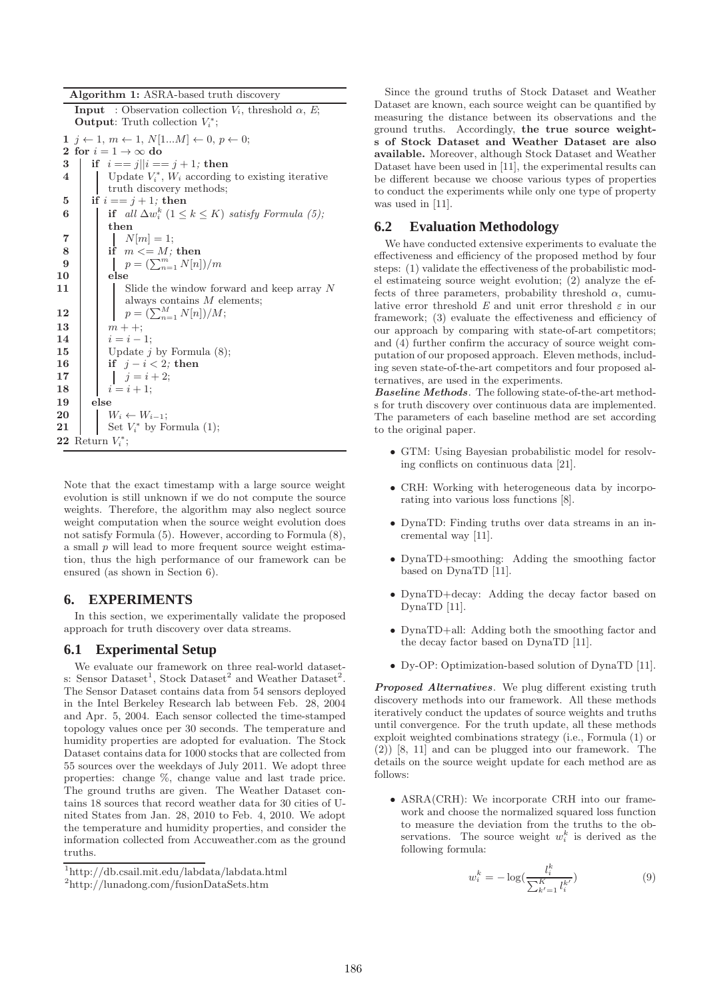| Algorithm 1: ASRA-based truth discovery |  |  |  |  |
|-----------------------------------------|--|--|--|--|
|-----------------------------------------|--|--|--|--|

|                | <b>Input</b> : Observation collection $V_i$ , threshold $\alpha$ , E;<br><b>Output:</b> Truth collection $V_i^*$ ; |
|----------------|--------------------------------------------------------------------------------------------------------------------|
|                | 1 $j \leftarrow 1, m \leftarrow 1, N[1M] \leftarrow 0, p \leftarrow 0;$                                            |
|                | 2 for $i = 1 \rightarrow \infty$ do                                                                                |
| 3              | if $i == j  i == j + 1$ ; then                                                                                     |
| 4              | Update $V_i^*$ , $W_i$ according to existing iterative                                                             |
|                | truth discovery methods;                                                                                           |
| 5              | if $i == j + 1$ ; then                                                                                             |
| 6              | if all $\Delta w_i^k$ $(1 \leq k \leq K)$ satisfy Formula (5);                                                     |
|                | then                                                                                                               |
| $\overline{7}$ | $N m =1;$                                                                                                          |
| 8              | if $m \leq M$ ; then                                                                                               |
| 9              | $p = (\sum_{n=1}^{m} N[n])/m$                                                                                      |
| 10             | else                                                                                                               |
| 11             | Slide the window forward and keep array N                                                                          |
|                | always contains $M$ elements;                                                                                      |
| 12             | $p = (\sum_{n=1}^{M} N[n])/M;$                                                                                     |
| 13             | $m + +$                                                                                                            |
| 14             | $i=i-1;$                                                                                                           |
| 15             | Update $j$ by Formula $(8)$ ;                                                                                      |
| 16             | if $j-i < 2$ ; then                                                                                                |
| 17             | $j = i + 2;$                                                                                                       |
| 18             | $i = i + 1;$                                                                                                       |
| 19             | else                                                                                                               |
| 20             | $W_i \leftarrow W_{i-1};$                                                                                          |
| 21             | Set $V_i^*$ by Formula (1);                                                                                        |
|                | 22 Return $V_i^*$ ;                                                                                                |
|                |                                                                                                                    |

Note that the exact timestamp with a large source weight evolution is still unknown if we do not compute the source weights. Therefore, the algorithm may also neglect source weight computation when the source weight evolution does not satisfy Formula (5). However, according to Formula (8), a small p will lead to more frequent source weight estimation, thus the high performance of our framework can be ensured (as shown in Section 6).

## **6. EXPERIMENTS**

In this section, we experimentally validate the proposed approach for truth discovery over data streams.

## **6.1 Experimental Setup**

We evaluate our framework on three real-world datasets: Sensor Dataset<sup>1</sup>, Stock Dataset<sup>2</sup> and Weather Dataset<sup>2</sup>. The Sensor Dataset contains data from 54 sensors deployed in the Intel Berkeley Research lab between Feb. 28, 2004 and Apr. 5, 2004. Each sensor collected the time-stamped topology values once per 30 seconds. The temperature and humidity properties are adopted for evaluation. The Stock Dataset contains data for 1000 stocks that are collected from 55 sources over the weekdays of July 2011. We adopt three properties: change %, change value and last trade price. The ground truths are given. The Weather Dataset contains 18 sources that record weather data for 30 cities of United States from Jan. 28, 2010 to Feb. 4, 2010. We adopt the temperature and humidity properties, and consider the information collected from Accuweather.com as the ground truths.

Since the ground truths of Stock Dataset and Weather Dataset are known, each source weight can be quantified by measuring the distance between its observations and the ground truths. Accordingly, the true source weights of Stock Dataset and Weather Dataset are also available. Moreover, although Stock Dataset and Weather Dataset have been used in [11], the experimental results can be different because we choose various types of properties to conduct the experiments while only one type of property was used in [11].

## **6.2 Evaluation Methodology**

We have conducted extensive experiments to evaluate the effectiveness and efficiency of the proposed method by four steps: (1) validate the effectiveness of the probabilistic model estimateing source weight evolution; (2) analyze the effects of three parameters, probability threshold  $\alpha$ , cumulative error threshold  $E$  and unit error threshold  $\varepsilon$  in our framework; (3) evaluate the effectiveness and efficiency of our approach by comparing with state-of-art competitors; and (4) further confirm the accuracy of source weight computation of our proposed approach. Eleven methods, including seven state-of-the-art competitors and four proposed alternatives, are used in the experiments.

Baseline Methods. The following state-of-the-art methods for truth discovery over continuous data are implemented. The parameters of each baseline method are set according to the original paper.

- GTM: Using Bayesian probabilistic model for resolving conflicts on continuous data [21].
- CRH: Working with heterogeneous data by incorporating into various loss functions [8].
- DynaTD: Finding truths over data streams in an incremental way [11].
- DynaTD+smoothing: Adding the smoothing factor based on DynaTD [11].
- DynaTD+decay: Adding the decay factor based on DynaTD [11].
- DynaTD+all: Adding both the smoothing factor and the decay factor based on DynaTD [11].
- Dy-OP: Optimization-based solution of DynaTD [11].

Proposed Alternatives. We plug different existing truth discovery methods into our framework. All these methods iteratively conduct the updates of source weights and truths until convergence. For the truth update, all these methods exploit weighted combinations strategy (i.e., Formula (1) or (2)) [8, 11] and can be plugged into our framework. The details on the source weight update for each method are as follows:

• ASRA(CRH): We incorporate CRH into our framework and choose the normalized squared loss function to measure the deviation from the truths to the observations. The source weight  $w_i^k$  is derived as the following formula:

$$
w_i^k = -\log(\frac{l_i^k}{\sum_{k'=1}^K l_i^{k'}})
$$
\n(9)

<sup>1</sup> http://db.csail.mit.edu/labdata/labdata.html

<sup>2</sup> http://lunadong.com/fusionDataSets.htm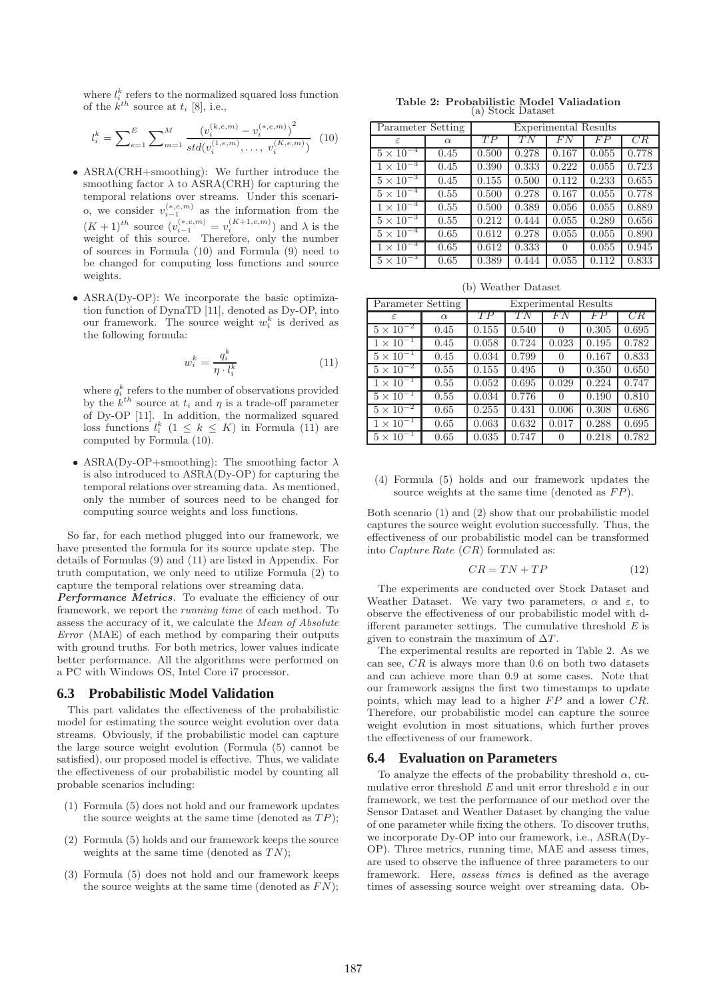where  $l_i^k$  refers to the normalized squared loss function of the  $k^{th}$  source at  $t_i$  [8], i.e.,

$$
l_i^k = \sum_{e=1}^E \sum_{m=1}^M \frac{\left(v_i^{(k,e,m)} - v_i^{(*,e,m)}\right)^2}{std(v_i^{(1,e,m)}, \dots, v_i^{(K,e,m)})} \tag{10}
$$

- ASRA(CRH+smoothing): We further introduce the smoothing factor  $\lambda$  to ASRA(CRH) for capturing the temporal relations over streams. Under this scenario, we consider  $v_{i-1}^{(*,e,m)}$  as the information from the  $(K+1)$ <sup>th</sup> source  $(v_{i-1}^{(*,e,m)} = v_i^{(K+1,e,m)})$  and  $\lambda$  is the weight of this source. Therefore, only the number of sources in Formula (10) and Formula (9) need to be changed for computing loss functions and source weights.
- ASRA(Dy-OP): We incorporate the basic optimization function of DynaTD [11], denoted as Dy-OP, into our framework. The source weight  $w_i^k$  is derived as the following formula:

$$
w_i^k = \frac{q_i^k}{\eta \cdot l_i^k} \tag{11}
$$

where  $q_i^k$  refers to the number of observations provided by the  $k^{th}$  source at  $t_i$  and  $\eta$  is a trade-off parameter of Dy-OP [11]. In addition, the normalized squared loss functions  $l_i^k$   $(1 \leq k \leq K)$  in Formula (11) are computed by Formula (10).

• ASRA(Dy-OP+smoothing): The smoothing factor  $\lambda$ is also introduced to ASRA(Dy-OP) for capturing the temporal relations over streaming data. As mentioned, only the number of sources need to be changed for computing source weights and loss functions.

So far, for each method plugged into our framework, we have presented the formula for its source update step. The details of Formulas (9) and (11) are listed in Appendix. For truth computation, we only need to utilize Formula (2) to capture the temporal relations over streaming data.

Performance Metrics. To evaluate the efficiency of our framework, we report the *running time* of each method. To assess the accuracy of it, we calculate the *Mean of Absolute Error* (MAE) of each method by comparing their outputs with ground truths. For both metrics, lower values indicate better performance. All the algorithms were performed on a PC with Windows OS, Intel Core i7 processor.

#### **6.3 Probabilistic Model Validation**

This part validates the effectiveness of the probabilistic model for estimating the source weight evolution over data streams. Obviously, if the probabilistic model can capture the large source weight evolution (Formula (5) cannot be satisfied), our proposed model is effective. Thus, we validate the effectiveness of our probabilistic model by counting all probable scenarios including:

- (1) Formula (5) does not hold and our framework updates the source weights at the same time (denoted as  $TP$ );
- (2) Formula (5) holds and our framework keeps the source weights at the same time (denoted as  $TN$ );
- (3) Formula (5) does not hold and our framework keeps the source weights at the same time (denoted as  $FN$ );

Table 2: Probabilistic Model Valiadation (a) Stock Dataset

| Parameter Setting             |          | <b>Experimental Results</b> |       |                  |       |       |
|-------------------------------|----------|-----------------------------|-------|------------------|-------|-------|
| $\epsilon$                    | $\alpha$ | TP                          | TN    | FN               | FP    | CR    |
| $5 \times 10^{-4}$            | 0.45     | 0.500                       | 0.278 | 0.167            | 0.055 | 0.778 |
| $1 \times \overline{10^{-3}}$ | 0.45     | 0.390                       | 0.333 | 0.222            | 0.055 | 0.723 |
| $5 \times 10^{-3}$            | 0.45     | 0.155                       | 0.500 | 0.112            | 0.233 | 0.655 |
| $5 \times 10^{-4}$            | 0.55     | 0.500                       | 0.278 | 0.167            | 0.055 | 0.778 |
| $1 \times 10^{-3}$            | 0.55     | 0.500                       | 0.389 | 0.056            | 0.055 | 0.889 |
| $5 \times 10^{-3}$            | 0.55     | 0.212                       | 0.444 | 0.055            | 0.289 | 0.656 |
| $5 \times 10^{-4}$            | 0.65     | 0.612                       | 0.278 | 0.055            | 0.055 | 0.890 |
| $1 \times 10^{-3}$            | 0.65     | 0.612                       | 0.333 | $\left( \right)$ | 0.055 | 0.945 |
| $5 \times 10^{-3}$            | 0.65     | 0.389                       | 0.444 | 0.055            | 0.112 | 0.833 |

(b) Weather Dataset

| Parameter Setting             |          | <b>Experimental Results</b> |       |                |       |       |  |
|-------------------------------|----------|-----------------------------|-------|----------------|-------|-------|--|
| ε                             | $\alpha$ | TP                          | TN    | FN             | FP    | CR    |  |
| $5 \times \overline{10^{-2}}$ | 0.45     | 0.155                       | 0.540 | 0              | 0.305 | 0.695 |  |
| $1 \times 10^{-1}$            | 0.45     | 0.058                       | 0.724 | 0.023          | 0.195 | 0.782 |  |
| $5 \times 10^{-1}$            | 0.45     | 0.034                       | 0.799 | $\overline{0}$ | 0.167 | 0.833 |  |
| $5 \times 10^{-2}$            | 0.55     | 0.155                       | 0.495 | 0              | 0.350 | 0.650 |  |
| $1 \times 10^{-1}$            | 0.55     | 0.052                       | 0.695 | 0.029          | 0.224 | 0.747 |  |
| $5 \times 10^{-1}$            | 0.55     | 0.034                       | 0.776 | $\Omega$       | 0.190 | 0.810 |  |
| $5 \times 10^{-2}$            | 0.65     | 0.255                       | 0.431 | 0.006          | 0.308 | 0.686 |  |
| $1 \times 10^{-1}$            | 0.65     | 0.063                       | 0.632 | 0.017          | 0.288 | 0.695 |  |
| $5 \times 10^{-1}$            | 0.65     | 0.035                       | 0.747 | 0              | 0.218 | 0.782 |  |

(4) Formula (5) holds and our framework updates the source weights at the same time (denoted as  $FP$ ).

Both scenario (1) and (2) show that our probabilistic model captures the source weight evolution successfully. Thus, the effectiveness of our probabilistic model can be transformed into *Capture Rate*  $(CR)$  formulated as:

$$
CR = TN + TP \tag{12}
$$

The experiments are conducted over Stock Dataset and Weather Dataset. We vary two parameters,  $\alpha$  and  $\varepsilon$ , to observe the effectiveness of our probabilistic model with different parameter settings. The cumulative threshold *E* is given to constrain the maximum of  $\Delta T$ .

The experimental results are reported in Table 2. As we can see,  $CR$  is always more than 0.6 on both two datasets and can achieve more than 0.9 at some cases. Note that our framework assigns the first two timestamps to update points, which may lead to a higher  $FP$  and a lower  $CR$ . Therefore, our probabilistic model can capture the source weight evolution in most situations, which further proves the effectiveness of our framework.

## **6.4 Evaluation on Parameters**

To analyze the effects of the probability threshold  $\alpha$ , cumulative error threshold  $E$  and unit error threshold  $\varepsilon$  in our framework, we test the performance of our method over the Sensor Dataset and Weather Dataset by changing the value of one parameter while fixing the others. To discover truths, we incorporate Dy-OP into our framework, i.e., ASRA(Dy-OP). Three metrics, running time, MAE and assess times, are used to observe the influence of three parameters to our framework. Here, *assess times* is defined as the average times of assessing source weight over streaming data. Ob-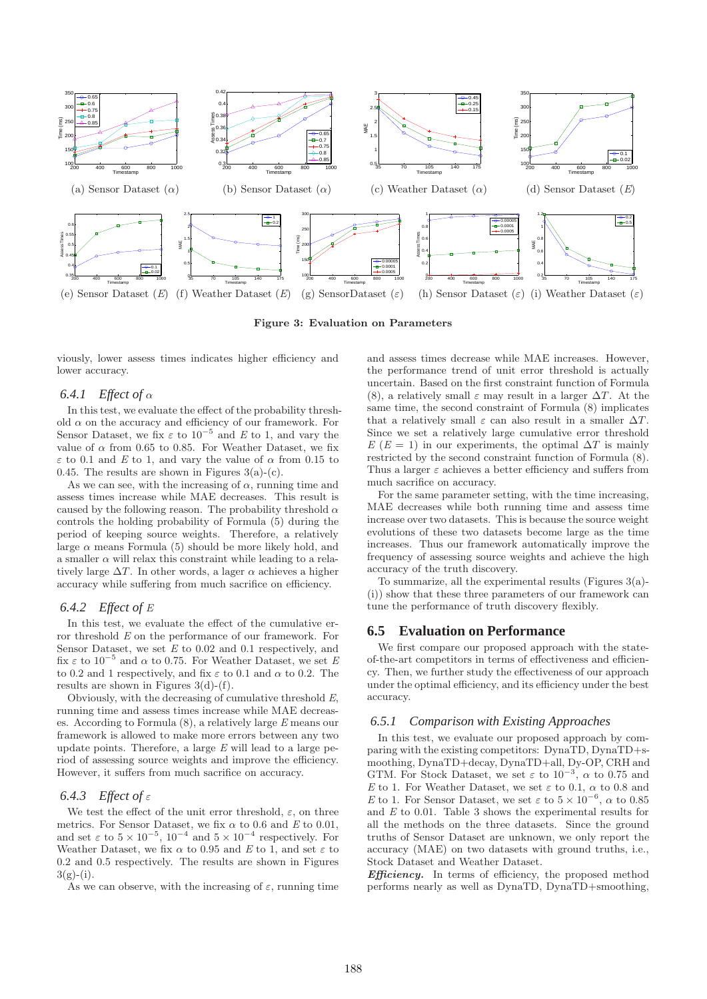

Figure 3: Evaluation on Parameters

viously, lower assess times indicates higher efficiency and lower accuracy.

## *6.4.1 Effect of* α

In this test, we evaluate the effect of the probability threshold  $\alpha$  on the accuracy and efficiency of our framework. For Sensor Dataset, we fix  $\varepsilon$  to 10<sup>-5</sup> and *E* to 1, and vary the value of  $\alpha$  from 0.65 to 0.85. For Weather Dataset, we fix  $\varepsilon$  to 0.1 and *E* to 1, and vary the value of  $\alpha$  from 0.15 to 0.45. The results are shown in Figures  $3(a)-(c)$ .

As we can see, with the increasing of  $\alpha$ , running time and assess times increase while MAE decreases. This result is caused by the following reason. The probability threshold  $\alpha$ controls the holding probability of Formula (5) during the period of keeping source weights. Therefore, a relatively large  $\alpha$  means Formula (5) should be more likely hold, and a smaller  $\alpha$  will relax this constraint while leading to a relatively large  $\Delta T$ . In other words, a lager  $\alpha$  achieves a higher accuracy while suffering from much sacrifice on efficiency.

#### *6.4.2 Effect of E*

In this test, we evaluate the effect of the cumulative error threshold *E* on the performance of our framework. For Sensor Dataset, we set *E* to 0.02 and 0.1 respectively, and fix  $\varepsilon$  to 10<sup>-5</sup> and  $\alpha$  to 0.75. For Weather Dataset, we set *E* to 0.2 and 1 respectively, and fix  $\varepsilon$  to 0.1 and  $\alpha$  to 0.2. The results are shown in Figures  $3(d)-(f)$ .

Obviously, with the decreasing of cumulative threshold *E*, running time and assess times increase while MAE decreases. According to Formula (8), a relatively large *E* means our framework is allowed to make more errors between any two update points. Therefore, a large *E* will lead to a large period of assessing source weights and improve the efficiency. However, it suffers from much sacrifice on accuracy.

#### *6.4.3 Effect of* ε

We test the effect of the unit error threshold,  $\varepsilon$ , on three metrics. For Sensor Dataset, we fix  $\alpha$  to 0.6 and *E* to 0.01, and set  $\varepsilon$  to  $5 \times 10^{-5}$ ,  $10^{-4}$  and  $5 \times 10^{-4}$  respectively. For Weather Dataset, we fix  $\alpha$  to 0.95 and *E* to 1, and set  $\varepsilon$  to 0.2 and 0.5 respectively. The results are shown in Figures  $3(g)-(i)$ .

As we can observe, with the increasing of  $\varepsilon$ , running time

and assess times decrease while MAE increases. However, the performance trend of unit error threshold is actually uncertain. Based on the first constraint function of Formula (8), a relatively small  $\varepsilon$  may result in a larger  $\Delta T$ . At the same time, the second constraint of Formula (8) implicates that a relatively small  $\varepsilon$  can also result in a smaller  $\Delta T$ . Since we set a relatively large cumulative error threshold  $E(E = 1)$  in our experiments, the optimal  $\Delta T$  is mainly restricted by the second constraint function of Formula (8). Thus a larger  $\varepsilon$  achieves a better efficiency and suffers from much sacrifice on accuracy.

For the same parameter setting, with the time increasing, MAE decreases while both running time and assess time increase over two datasets. This is because the source weight evolutions of these two datasets become large as the time increases. Thus our framework automatically improve the frequency of assessing source weights and achieve the high accuracy of the truth discovery.

To summarize, all the experimental results (Figures 3(a)- (i)) show that these three parameters of our framework can tune the performance of truth discovery flexibly.

#### **6.5 Evaluation on Performance**

We first compare our proposed approach with the stateof-the-art competitors in terms of effectiveness and efficiency. Then, we further study the effectiveness of our approach under the optimal efficiency, and its efficiency under the best accuracy.

#### *6.5.1 Comparison with Existing Approaches*

In this test, we evaluate our proposed approach by comparing with the existing competitors: DynaTD, DynaTD+smoothing, DynaTD+decay, DynaTD+all, Dy-OP, CRH and GTM. For Stock Dataset, we set  $\varepsilon$  to  $10^{-3}$ ,  $\alpha$  to 0.75 and *E* to 1. For Weather Dataset, we set  $\varepsilon$  to 0.1,  $\alpha$  to 0.8 and *E* to 1. For Sensor Dataset, we set  $\varepsilon$  to  $5 \times 10^{-6}$ ,  $\alpha$  to 0.85 and *E* to 0.01. Table 3 shows the experimental results for all the methods on the three datasets. Since the ground truths of Sensor Dataset are unknown, we only report the accuracy (MAE) on two datasets with ground truths, i.e., Stock Dataset and Weather Dataset.

Efficiency. In terms of efficiency, the proposed method performs nearly as well as DynaTD, DynaTD+smoothing,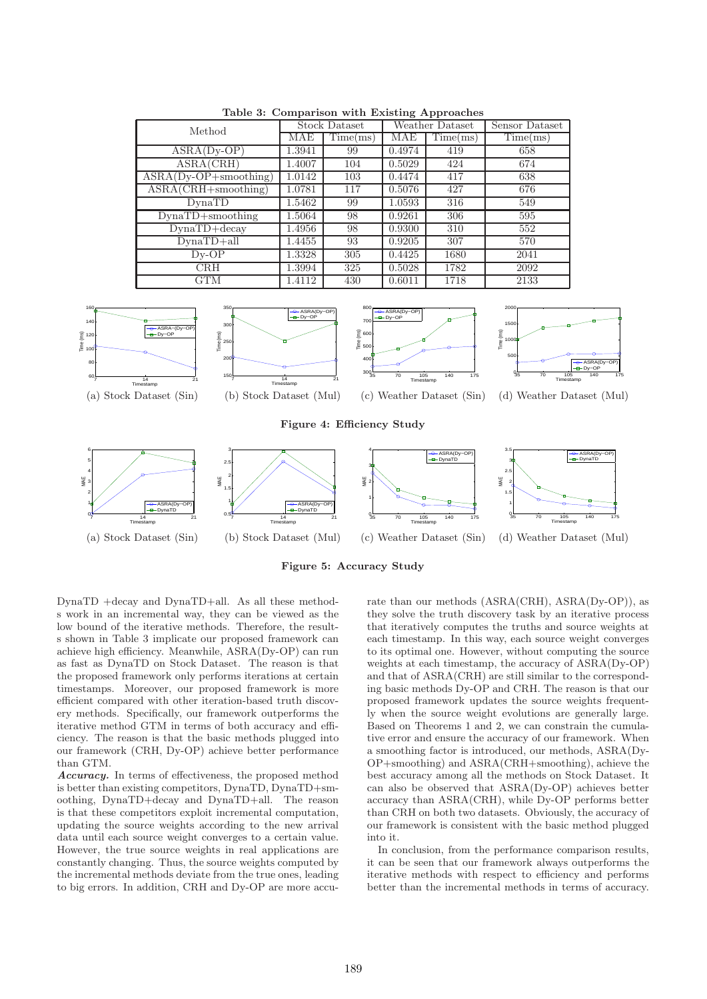

Table 3: Comparison with Existing Approaches

(a) Stock Dataset (Sin) (b) Stock Dataset (Mul) (c) Weather Dataset (Sin) (d) Weather Dataset (Mul)

Figure 5: Accuracy Study

DynaTD +decay and DynaTD+all. As all these methods work in an incremental way, they can be viewed as the low bound of the iterative methods. Therefore, the results shown in Table 3 implicate our proposed framework can achieve high efficiency. Meanwhile, ASRA(Dy-OP) can run as fast as DynaTD on Stock Dataset. The reason is that the proposed framework only performs iterations at certain timestamps. Moreover, our proposed framework is more efficient compared with other iteration-based truth discovery methods. Specifically, our framework outperforms the iterative method GTM in terms of both accuracy and efficiency. The reason is that the basic methods plugged into our framework (CRH, Dy-OP) achieve better performance than GTM.

 $\epsilon$ 

Accuracy. In terms of effectiveness, the proposed method is better than existing competitors, DynaTD, DynaTD+smoothing, DynaTD+decay and DynaTD+all. The reason is that these competitors exploit incremental computation, updating the source weights according to the new arrival data until each source weight converges to a certain value. However, the true source weights in real applications are constantly changing. Thus, the source weights computed by the incremental methods deviate from the true ones, leading to big errors. In addition, CRH and Dy-OP are more accu-

rate than our methods (ASRA(CRH), ASRA(Dy-OP)), as they solve the truth discovery task by an iterative process that iteratively computes the truths and source weights at each timestamp. In this way, each source weight converges to its optimal one. However, without computing the source weights at each timestamp, the accuracy of ASRA(Dy-OP) and that of ASRA(CRH) are still similar to the corresponding basic methods Dy-OP and CRH. The reason is that our proposed framework updates the source weights frequently when the source weight evolutions are generally large. Based on Theorems 1 and 2, we can constrain the cumulative error and ensure the accuracy of our framework. When a smoothing factor is introduced, our methods, ASRA(Dy-OP+smoothing) and ASRA(CRH+smoothing), achieve the best accuracy among all the methods on Stock Dataset. It can also be observed that ASRA(Dy-OP) achieves better accuracy than ASRA(CRH), while Dy-OP performs better than CRH on both two datasets. Obviously, the accuracy of our framework is consistent with the basic method plugged into it.

In conclusion, from the performance comparison results, it can be seen that our framework always outperforms the iterative methods with respect to efficiency and performs better than the incremental methods in terms of accuracy.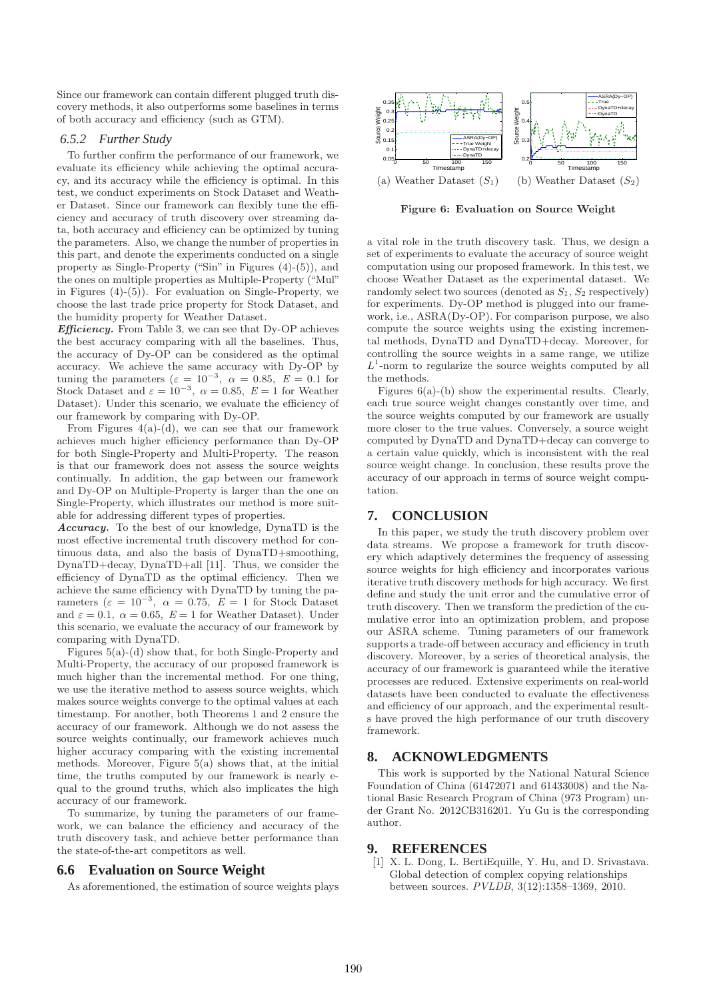Since our framework can contain different plugged truth discovery methods, it also outperforms some baselines in terms of both accuracy and efficiency (such as GTM).

#### *6.5.2 Further Study*

To further confirm the performance of our framework, we evaluate its efficiency while achieving the optimal accuracy, and its accuracy while the efficiency is optimal. In this test, we conduct experiments on Stock Dataset and Weather Dataset. Since our framework can flexibly tune the efficiency and accuracy of truth discovery over streaming data, both accuracy and efficiency can be optimized by tuning the parameters. Also, we change the number of properties in this part, and denote the experiments conducted on a single property as Single-Property ("Sin" in Figures (4)-(5)), and the ones on multiple properties as Multiple-Property ("Mul" in Figures (4)-(5)). For evaluation on Single-Property, we choose the last trade price property for Stock Dataset, and the humidity property for Weather Dataset.

Efficiency. From Table 3, we can see that Dy-OP achieves the best accuracy comparing with all the baselines. Thus, the accuracy of Dy-OP can be considered as the optimal accuracy. We achieve the same accuracy with Dy-OP by tuning the parameters  $(\varepsilon = 10^{-3}, \alpha = 0.85, E = 0.1$  for Stock Dataset and  $\varepsilon = 10^{-3}, \alpha = 0.85, E = 1$  for Weather Dataset). Under this scenario, we evaluate the efficiency of our framework by comparing with Dy-OP.

From Figures  $4(a)-(d)$ , we can see that our framework achieves much higher efficiency performance than Dy-OP for both Single-Property and Multi-Property. The reason is that our framework does not assess the source weights continually. In addition, the gap between our framework and Dy-OP on Multiple-Property is larger than the one on Single-Property, which illustrates our method is more suitable for addressing different types of properties.

Accuracy. To the best of our knowledge, DynaTD is the most effective incremental truth discovery method for continuous data, and also the basis of DynaTD+smoothing, DynaTD+decay, DynaTD+all [11]. Thus, we consider the efficiency of DynaTD as the optimal efficiency. Then we achieve the same efficiency with DynaTD by tuning the parameters ( $\varepsilon = 10^{-3}$ ,  $\alpha = 0.75$ ,  $E = 1$  for Stock Dataset and  $\varepsilon = 0.1$ ,  $\alpha = 0.65$ ,  $E = 1$  for Weather Dataset). Under this scenario, we evaluate the accuracy of our framework by comparing with DynaTD.

Figures 5(a)-(d) show that, for both Single-Property and Multi-Property, the accuracy of our proposed framework is much higher than the incremental method. For one thing, we use the iterative method to assess source weights, which makes source weights converge to the optimal values at each timestamp. For another, both Theorems 1 and 2 ensure the accuracy of our framework. Although we do not assess the source weights continually, our framework achieves much higher accuracy comparing with the existing incremental methods. Moreover, Figure 5(a) shows that, at the initial time, the truths computed by our framework is nearly equal to the ground truths, which also implicates the high accuracy of our framework.

To summarize, by tuning the parameters of our framework, we can balance the efficiency and accuracy of the truth discovery task, and achieve better performance than the state-of-the-art competitors as well.

#### **6.6 Evaluation on Source Weight**

As aforementioned, the estimation of source weights plays



Figure 6: Evaluation on Source Weight

a vital role in the truth discovery task. Thus, we design a set of experiments to evaluate the accuracy of source weight computation using our proposed framework. In this test, we choose Weather Dataset as the experimental dataset. We randomly select two sources (denoted as  $S_1, S_2$  respectively) for experiments. Dy-OP method is plugged into our framework, i.e., ASRA(Dy-OP). For comparison purpose, we also compute the source weights using the existing incremental methods, DynaTD and DynaTD+decay. Moreover, for controlling the source weights in a same range, we utilize  $L^1$ -norm to regularize the source weights computed by all the methods.

Figures  $6(a)$ -(b) show the experimental results. Clearly, each true source weight changes constantly over time, and the source weights computed by our framework are usually more closer to the true values. Conversely, a source weight computed by DynaTD and DynaTD+decay can converge to a certain value quickly, which is inconsistent with the real source weight change. In conclusion, these results prove the accuracy of our approach in terms of source weight computation.

## **7. CONCLUSION**

In this paper, we study the truth discovery problem over data streams. We propose a framework for truth discovery which adaptively determines the frequency of assessing source weights for high efficiency and incorporates various iterative truth discovery methods for high accuracy. We first define and study the unit error and the cumulative error of truth discovery. Then we transform the prediction of the cumulative error into an optimization problem, and propose our ASRA scheme. Tuning parameters of our framework supports a trade-off between accuracy and efficiency in truth discovery. Moreover, by a series of theoretical analysis, the accuracy of our framework is guaranteed while the iterative processes are reduced. Extensive experiments on real-world datasets have been conducted to evaluate the effectiveness and efficiency of our approach, and the experimental results have proved the high performance of our truth discovery framework.

#### **8. ACKNOWLEDGMENTS**

This work is supported by the National Natural Science Foundation of China (61472071 and 61433008) and the National Basic Research Program of China (973 Program) under Grant No. 2012CB316201. Yu Gu is the corresponding author.

#### **9. REFERENCES**

[1] X. L. Dong, L. BertiEquille, Y. Hu, and D. Srivastava. Global detection of complex copying relationships between sources. *PVLDB*, 3(12):1358–1369, 2010.